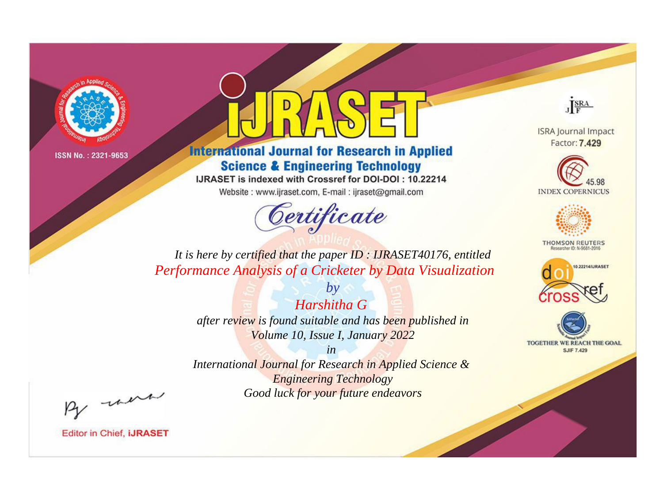

# **International Journal for Research in Applied Science & Engineering Technology**

IJRASET is indexed with Crossref for DOI-DOI: 10.22214

Website: www.ijraset.com, E-mail: ijraset@gmail.com



JERA

**ISRA Journal Impact** Factor: 7.429





**THOMSON REUTERS** 



TOGETHER WE REACH THE GOAL **SJIF 7.429** 

*It is here by certified that the paper ID : IJRASET40176, entitled Performance Analysis of a Cricketer by Data Visualization*

> *by Harshitha G after review is found suitable and has been published in Volume 10, Issue I, January 2022*

> > *in*

*International Journal for Research in Applied Science & Engineering Technology Good luck for your future endeavors*

By morn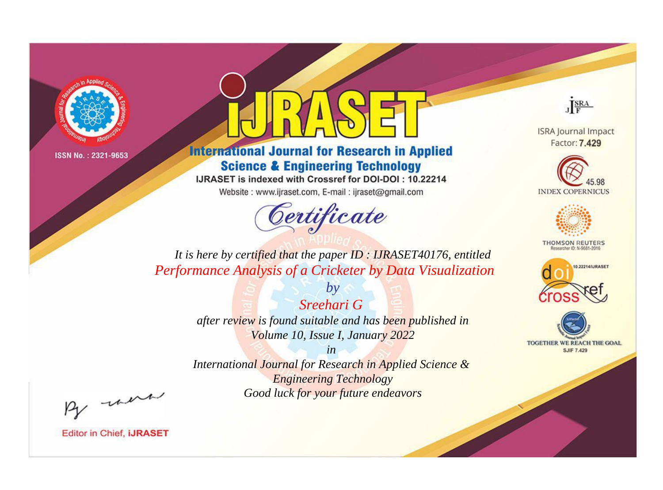

# **International Journal for Research in Applied Science & Engineering Technology**

IJRASET is indexed with Crossref for DOI-DOI: 10.22214

Website: www.ijraset.com, E-mail: ijraset@gmail.com



JERA

**ISRA Journal Impact** Factor: 7.429





**THOMSON REUTERS** 



TOGETHER WE REACH THE GOAL **SJIF 7.429** 

*It is here by certified that the paper ID : IJRASET40176, entitled Performance Analysis of a Cricketer by Data Visualization*

> *Sreehari G after review is found suitable and has been published in Volume 10, Issue I, January 2022*

*by*

*in* 

*International Journal for Research in Applied Science & Engineering Technology Good luck for your future endeavors*

By morn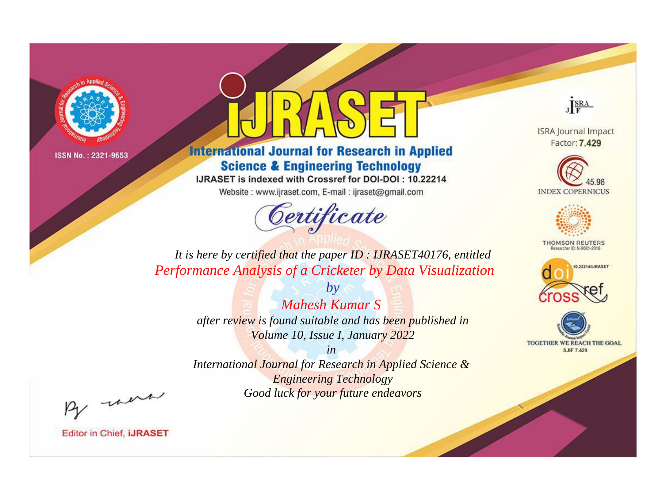

# **International Journal for Research in Applied Science & Engineering Technology**

IJRASET is indexed with Crossref for DOI-DOI: 10.22214

Website: www.ijraset.com, E-mail: ijraset@gmail.com



JERA

**ISRA Journal Impact** Factor: 7.429





**THOMSON REUTERS** 



TOGETHER WE REACH THE GOAL **SJIF 7.429** 

*It is here by certified that the paper ID : IJRASET40176, entitled Performance Analysis of a Cricketer by Data Visualization*

> *Mahesh Kumar S after review is found suitable and has been published in Volume 10, Issue I, January 2022*

*by*

*in* 

*International Journal for Research in Applied Science & Engineering Technology Good luck for your future endeavors*

By morn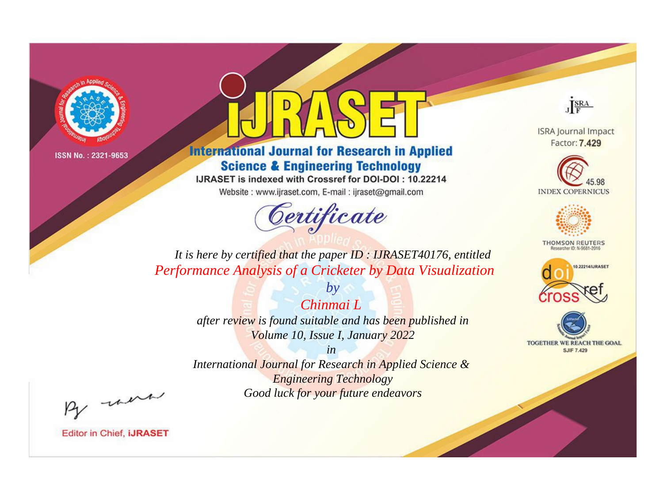

# **International Journal for Research in Applied Science & Engineering Technology**

IJRASET is indexed with Crossref for DOI-DOI: 10.22214

Website: www.ijraset.com, E-mail: ijraset@gmail.com



JERA

**ISRA Journal Impact** Factor: 7.429





**THOMSON REUTERS** 



TOGETHER WE REACH THE GOAL **SJIF 7.429** 

It is here by certified that the paper ID: IJRASET40176, entitled Performance Analysis of a Cricketer by Data Visualization

> Chinmai L after review is found suitable and has been published in Volume 10, Issue I, January 2022

 $b\nu$ 

 $in$ International Journal for Research in Applied Science & **Engineering Technology** Good luck for your future endeavors

By morn